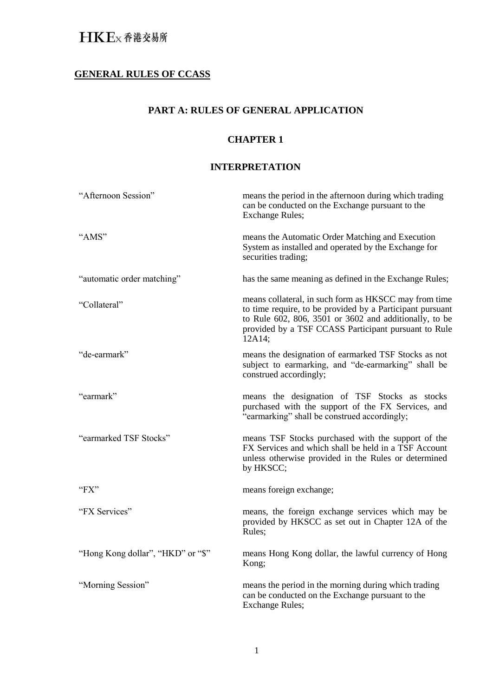## **GENERAL RULES OF CCASS**

## **PART A: RULES OF GENERAL APPLICATION**

## **CHAPTER 1**

## **INTERPRETATION**

| "Afternoon Session"               | means the period in the afternoon during which trading<br>can be conducted on the Exchange pursuant to the<br><b>Exchange Rules;</b>                                                                                                           |
|-----------------------------------|------------------------------------------------------------------------------------------------------------------------------------------------------------------------------------------------------------------------------------------------|
| "AMS"                             | means the Automatic Order Matching and Execution<br>System as installed and operated by the Exchange for<br>securities trading;                                                                                                                |
| "automatic order matching"        | has the same meaning as defined in the Exchange Rules;                                                                                                                                                                                         |
| "Collateral"                      | means collateral, in such form as HKSCC may from time<br>to time require, to be provided by a Participant pursuant<br>to Rule 602, 806, 3501 or 3602 and additionally, to be<br>provided by a TSF CCASS Participant pursuant to Rule<br>12A14; |
| "de-earmark"                      | means the designation of earmarked TSF Stocks as not<br>subject to earmarking, and "de-earmarking" shall be<br>construed accordingly;                                                                                                          |
| "earmark"                         | means the designation of TSF Stocks as stocks<br>purchased with the support of the FX Services, and<br>"earmarking" shall be construed accordingly;                                                                                            |
| "earmarked TSF Stocks"            | means TSF Stocks purchased with the support of the<br>FX Services and which shall be held in a TSF Account<br>unless otherwise provided in the Rules or determined<br>by HKSCC;                                                                |
| "FX"                              | means foreign exchange;                                                                                                                                                                                                                        |
| "FX Services"                     | means, the foreign exchange services which may be<br>provided by HKSCC as set out in Chapter 12A of the<br>Rules:                                                                                                                              |
| "Hong Kong dollar", "HKD" or "\$" | means Hong Kong dollar, the lawful currency of Hong<br>Kong;                                                                                                                                                                                   |
| "Morning Session"                 | means the period in the morning during which trading<br>can be conducted on the Exchange pursuant to the<br><b>Exchange Rules;</b>                                                                                                             |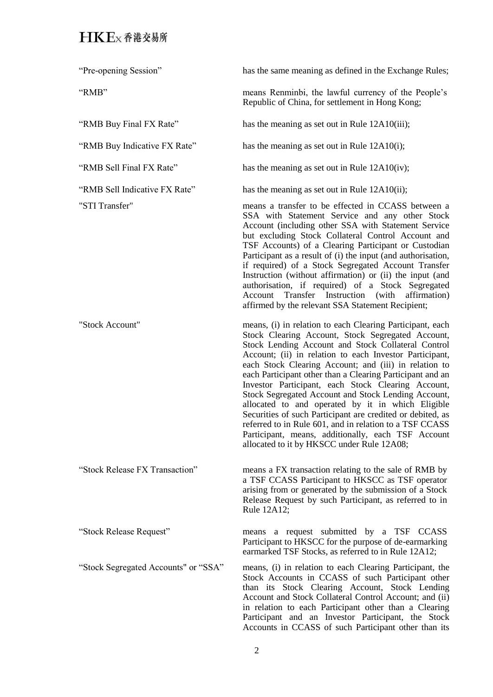| "Pre-opening Session"                | has the same meaning as defined in the Exchange Rules;                                                                                                                                                                                                                                                                                                                                                                                                                                                                                                                                                                                                                                                                                               |
|--------------------------------------|------------------------------------------------------------------------------------------------------------------------------------------------------------------------------------------------------------------------------------------------------------------------------------------------------------------------------------------------------------------------------------------------------------------------------------------------------------------------------------------------------------------------------------------------------------------------------------------------------------------------------------------------------------------------------------------------------------------------------------------------------|
| "RMB"                                | means Renminbi, the lawful currency of the People's<br>Republic of China, for settlement in Hong Kong;                                                                                                                                                                                                                                                                                                                                                                                                                                                                                                                                                                                                                                               |
| "RMB Buy Final FX Rate"              | has the meaning as set out in Rule 12A10(iii);                                                                                                                                                                                                                                                                                                                                                                                                                                                                                                                                                                                                                                                                                                       |
| "RMB Buy Indicative FX Rate"         | has the meaning as set out in Rule 12A10(i);                                                                                                                                                                                                                                                                                                                                                                                                                                                                                                                                                                                                                                                                                                         |
| "RMB Sell Final FX Rate"             | has the meaning as set out in Rule 12A10(iv);                                                                                                                                                                                                                                                                                                                                                                                                                                                                                                                                                                                                                                                                                                        |
| "RMB Sell Indicative FX Rate"        | has the meaning as set out in Rule 12A10(ii);                                                                                                                                                                                                                                                                                                                                                                                                                                                                                                                                                                                                                                                                                                        |
| "STI Transfer"                       | means a transfer to be effected in CCASS between a<br>SSA with Statement Service and any other Stock<br>Account (including other SSA with Statement Service<br>but excluding Stock Collateral Control Account and<br>TSF Accounts) of a Clearing Participant or Custodian<br>Participant as a result of (i) the input (and authorisation,<br>if required) of a Stock Segregated Account Transfer<br>Instruction (without affirmation) or (ii) the input (and<br>authorisation, if required) of a Stock Segregated<br>Account Transfer Instruction (with affirmation)<br>affirmed by the relevant SSA Statement Recipient;                                                                                                                            |
| "Stock Account"                      | means, (i) in relation to each Clearing Participant, each<br>Stock Clearing Account, Stock Segregated Account,<br>Stock Lending Account and Stock Collateral Control<br>Account; (ii) in relation to each Investor Participant,<br>each Stock Clearing Account; and (iii) in relation to<br>each Participant other than a Clearing Participant and an<br>Investor Participant, each Stock Clearing Account,<br>Stock Segregated Account and Stock Lending Account,<br>allocated to and operated by it in which Eligible<br>Securities of such Participant are credited or debited, as<br>referred to in Rule 601, and in relation to a TSF CCASS<br>Participant, means, additionally, each TSF Account<br>allocated to it by HKSCC under Rule 12A08; |
| "Stock Release FX Transaction"       | means a FX transaction relating to the sale of RMB by<br>a TSF CCASS Participant to HKSCC as TSF operator<br>arising from or generated by the submission of a Stock<br>Release Request by such Participant, as referred to in<br>Rule 12A12;                                                                                                                                                                                                                                                                                                                                                                                                                                                                                                         |
| "Stock Release Request"              | a request submitted by a TSF CCASS<br>means<br>Participant to HKSCC for the purpose of de-earmarking<br>earmarked TSF Stocks, as referred to in Rule 12A12;                                                                                                                                                                                                                                                                                                                                                                                                                                                                                                                                                                                          |
| "Stock Segregated Accounts" or "SSA" | means, (i) in relation to each Clearing Participant, the<br>Stock Accounts in CCASS of such Participant other<br>than its Stock Clearing Account, Stock Lending<br>Account and Stock Collateral Control Account; and (ii)<br>in relation to each Participant other than a Clearing<br>Participant and an Investor Participant, the Stock<br>Accounts in CCASS of such Participant other than its                                                                                                                                                                                                                                                                                                                                                     |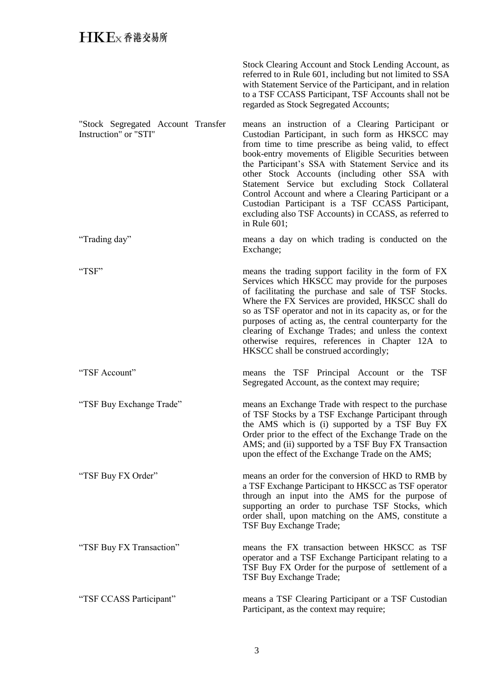|                                                             | Stock Clearing Account and Stock Lending Account, as<br>referred to in Rule 601, including but not limited to SSA<br>with Statement Service of the Participant, and in relation<br>to a TSF CCASS Participant, TSF Accounts shall not be<br>regarded as Stock Segregated Accounts;                                                                                                                                                                                                                                                                                         |
|-------------------------------------------------------------|----------------------------------------------------------------------------------------------------------------------------------------------------------------------------------------------------------------------------------------------------------------------------------------------------------------------------------------------------------------------------------------------------------------------------------------------------------------------------------------------------------------------------------------------------------------------------|
| "Stock Segregated Account Transfer<br>Instruction" or "STI" | means an instruction of a Clearing Participant or<br>Custodian Participant, in such form as HKSCC may<br>from time to time prescribe as being valid, to effect<br>book-entry movements of Eligible Securities between<br>the Participant's SSA with Statement Service and its<br>other Stock Accounts (including other SSA with<br>Statement Service but excluding Stock Collateral<br>Control Account and where a Clearing Participant or a<br>Custodian Participant is a TSF CCASS Participant,<br>excluding also TSF Accounts) in CCASS, as referred to<br>in Rule 601; |
| "Trading day"                                               | means a day on which trading is conducted on the<br>Exchange;                                                                                                                                                                                                                                                                                                                                                                                                                                                                                                              |
| "TSF"                                                       | means the trading support facility in the form of FX<br>Services which HKSCC may provide for the purposes<br>of facilitating the purchase and sale of TSF Stocks.<br>Where the FX Services are provided, HKSCC shall do<br>so as TSF operator and not in its capacity as, or for the<br>purposes of acting as, the central counterparty for the<br>clearing of Exchange Trades; and unless the context<br>otherwise requires, references in Chapter 12A to<br>HKSCC shall be construed accordingly;                                                                        |
| "TSF Account"                                               | means the TSF Principal Account or the<br><b>TSF</b><br>Segregated Account, as the context may require;                                                                                                                                                                                                                                                                                                                                                                                                                                                                    |
| "TSF Buy Exchange Trade"                                    | means an Exchange Trade with respect to the purchase<br>of TSF Stocks by a TSF Exchange Participant through<br>the AMS which is (i) supported by a TSF Buy FX<br>Order prior to the effect of the Exchange Trade on the<br>AMS; and (ii) supported by a TSF Buy FX Transaction<br>upon the effect of the Exchange Trade on the AMS;                                                                                                                                                                                                                                        |
| "TSF Buy FX Order"                                          | means an order for the conversion of HKD to RMB by<br>a TSF Exchange Participant to HKSCC as TSF operator<br>through an input into the AMS for the purpose of<br>supporting an order to purchase TSF Stocks, which<br>order shall, upon matching on the AMS, constitute a<br>TSF Buy Exchange Trade;                                                                                                                                                                                                                                                                       |
| "TSF Buy FX Transaction"                                    | means the FX transaction between HKSCC as TSF<br>operator and a TSF Exchange Participant relating to a<br>TSF Buy FX Order for the purpose of settlement of a<br>TSF Buy Exchange Trade;                                                                                                                                                                                                                                                                                                                                                                                   |
| "TSF CCASS Participant"                                     | means a TSF Clearing Participant or a TSF Custodian<br>Participant, as the context may require;                                                                                                                                                                                                                                                                                                                                                                                                                                                                            |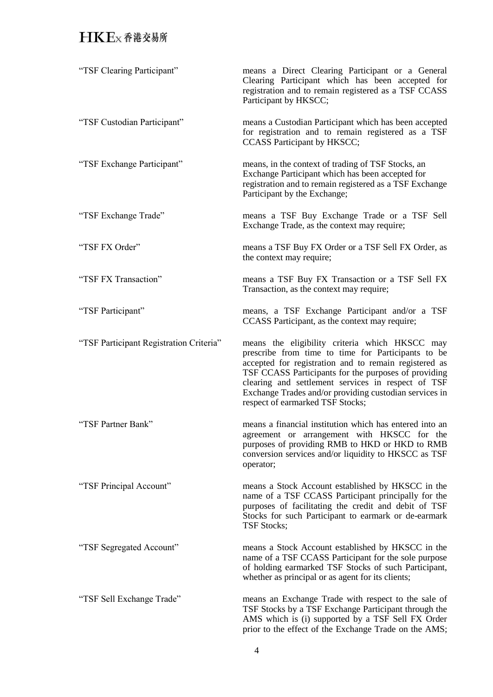| "TSF Clearing Participant"              | means a Direct Clearing Participant or a General<br>Clearing Participant which has been accepted for<br>registration and to remain registered as a TSF CCASS<br>Participant by HKSCC;                                                                                                                                                                                     |
|-----------------------------------------|---------------------------------------------------------------------------------------------------------------------------------------------------------------------------------------------------------------------------------------------------------------------------------------------------------------------------------------------------------------------------|
| "TSF Custodian Participant"             | means a Custodian Participant which has been accepted<br>for registration and to remain registered as a TSF<br>CCASS Participant by HKSCC;                                                                                                                                                                                                                                |
| "TSF Exchange Participant"              | means, in the context of trading of TSF Stocks, an<br>Exchange Participant which has been accepted for<br>registration and to remain registered as a TSF Exchange<br>Participant by the Exchange;                                                                                                                                                                         |
| "TSF Exchange Trade"                    | means a TSF Buy Exchange Trade or a TSF Sell<br>Exchange Trade, as the context may require;                                                                                                                                                                                                                                                                               |
| "TSF FX Order"                          | means a TSF Buy FX Order or a TSF Sell FX Order, as<br>the context may require;                                                                                                                                                                                                                                                                                           |
| "TSF FX Transaction"                    | means a TSF Buy FX Transaction or a TSF Sell FX<br>Transaction, as the context may require;                                                                                                                                                                                                                                                                               |
| "TSF Participant"                       | means, a TSF Exchange Participant and/or a TSF<br>CCASS Participant, as the context may require;                                                                                                                                                                                                                                                                          |
| "TSF Participant Registration Criteria" | means the eligibility criteria which HKSCC may<br>prescribe from time to time for Participants to be<br>accepted for registration and to remain registered as<br>TSF CCASS Participants for the purposes of providing<br>clearing and settlement services in respect of TSF<br>Exchange Trades and/or providing custodian services in<br>respect of earmarked TSF Stocks; |
| "TSF Partner Bank"                      | means a financial institution which has entered into an<br>agreement or arrangement with HKSCC for the<br>purposes of providing RMB to HKD or HKD to RMB<br>conversion services and/or liquidity to HKSCC as TSF<br>operator;                                                                                                                                             |
| "TSF Principal Account"                 | means a Stock Account established by HKSCC in the<br>name of a TSF CCASS Participant principally for the<br>purposes of facilitating the credit and debit of TSF<br>Stocks for such Participant to earmark or de-earmark<br><b>TSF Stocks;</b>                                                                                                                            |
| "TSF Segregated Account"                | means a Stock Account established by HKSCC in the<br>name of a TSF CCASS Participant for the sole purpose<br>of holding earmarked TSF Stocks of such Participant,<br>whether as principal or as agent for its clients;                                                                                                                                                    |
| "TSF Sell Exchange Trade"               | means an Exchange Trade with respect to the sale of<br>TSF Stocks by a TSF Exchange Participant through the<br>AMS which is (i) supported by a TSF Sell FX Order<br>prior to the effect of the Exchange Trade on the AMS;                                                                                                                                                 |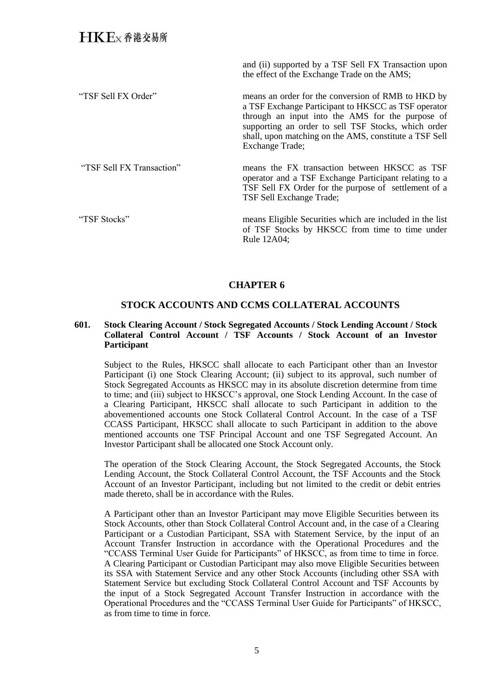and (ii) supported by a TSF Sell FX Transaction upon the effect of the Exchange Trade on the AMS;

"TSF Sell FX Order" means an order for the conversion of RMB to HKD by a TSF Exchange Participant to HKSCC as TSF operator through an input into the AMS for the purpose of supporting an order to sell TSF Stocks, which order shall, upon matching on the AMS, constitute a TSF Sell Exchange Trade;

"TSF Sell FX Transaction" means the FX transaction between HKSCC as TSF operator and a TSF Exchange Participant relating to a TSF Sell FX Order for the purpose of settlement of a TSF Sell Exchange Trade;

"TSF Stocks" means Eligible Securities which are included in the list of TSF Stocks by HKSCC from time to time under Rule 12A04;

## **CHAPTER 6**

#### **STOCK ACCOUNTS AND CCMS COLLATERAL ACCOUNTS**

#### **601. Stock Clearing Account / Stock Segregated Accounts / Stock Lending Account / Stock Collateral Control Account / TSF Accounts / Stock Account of an Investor Participant**

Subject to the Rules, HKSCC shall allocate to each Participant other than an Investor Participant (i) one Stock Clearing Account; (ii) subject to its approval, such number of Stock Segregated Accounts as HKSCC may in its absolute discretion determine from time to time; and (iii) subject to HKSCC's approval, one Stock Lending Account. In the case of a Clearing Participant, HKSCC shall allocate to such Participant in addition to the abovementioned accounts one Stock Collateral Control Account. In the case of a TSF CCASS Participant, HKSCC shall allocate to such Participant in addition to the above mentioned accounts one TSF Principal Account and one TSF Segregated Account. An Investor Participant shall be allocated one Stock Account only.

The operation of the Stock Clearing Account, the Stock Segregated Accounts, the Stock Lending Account, the Stock Collateral Control Account, the TSF Accounts and the Stock Account of an Investor Participant, including but not limited to the credit or debit entries made thereto, shall be in accordance with the Rules.

A Participant other than an Investor Participant may move Eligible Securities between its Stock Accounts, other than Stock Collateral Control Account and, in the case of a Clearing Participant or a Custodian Participant, SSA with Statement Service, by the input of an Account Transfer Instruction in accordance with the Operational Procedures and the "CCASS Terminal User Guide for Participants" of HKSCC, as from time to time in force. A Clearing Participant or Custodian Participant may also move Eligible Securities between its SSA with Statement Service and any other Stock Accounts (including other SSA with Statement Service but excluding Stock Collateral Control Account and TSF Accounts by the input of a Stock Segregated Account Transfer Instruction in accordance with the Operational Procedures and the "CCASS Terminal User Guide for Participants" of HKSCC, as from time to time in force.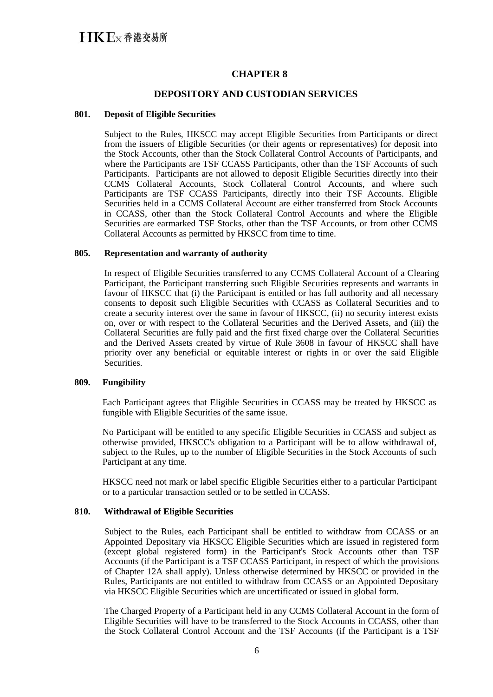## **CHAPTER 8**

## **DEPOSITORY AND CUSTODIAN SERVICES**

#### **801. Deposit of Eligible Securities**

Subject to the Rules, HKSCC may accept Eligible Securities from Participants or direct from the issuers of Eligible Securities (or their agents or representatives) for deposit into the Stock Accounts, other than the Stock Collateral Control Accounts of Participants, and where the Participants are TSF CCASS Participants, other than the TSF Accounts of such Participants. Participants are not allowed to deposit Eligible Securities directly into their CCMS Collateral Accounts, Stock Collateral Control Accounts, and where such Participants are TSF CCASS Participants, directly into their TSF Accounts. Eligible Securities held in a CCMS Collateral Account are either transferred from Stock Accounts in CCASS, other than the Stock Collateral Control Accounts and where the Eligible Securities are earmarked TSF Stocks, other than the TSF Accounts, or from other CCMS Collateral Accounts as permitted by HKSCC from time to time.

#### **805. Representation and warranty of authority**

In respect of Eligible Securities transferred to any CCMS Collateral Account of a Clearing Participant, the Participant transferring such Eligible Securities represents and warrants in favour of HKSCC that (i) the Participant is entitled or has full authority and all necessary consents to deposit such Eligible Securities with CCASS as Collateral Securities and to create a security interest over the same in favour of HKSCC, (ii) no security interest exists on, over or with respect to the Collateral Securities and the Derived Assets, and (iii) the Collateral Securities are fully paid and the first fixed charge over the Collateral Securities and the Derived Assets created by virtue of Rule 3608 in favour of HKSCC shall have priority over any beneficial or equitable interest or rights in or over the said Eligible Securities.

#### **809. Fungibility**

Each Participant agrees that Eligible Securities in CCASS may be treated by HKSCC as fungible with Eligible Securities of the same issue.

No Participant will be entitled to any specific Eligible Securities in CCASS and subject as otherwise provided, HKSCC's obligation to a Participant will be to allow withdrawal of, subject to the Rules, up to the number of Eligible Securities in the Stock Accounts of such Participant at any time.

HKSCC need not mark or label specific Eligible Securities either to a particular Participant or to a particular transaction settled or to be settled in CCASS.

#### **810. Withdrawal of Eligible Securities**

Subject to the Rules, each Participant shall be entitled to withdraw from CCASS or an Appointed Depositary via HKSCC Eligible Securities which are issued in registered form (except global registered form) in the Participant's Stock Accounts other than TSF Accounts (if the Participant is a TSF CCASS Participant, in respect of which the provisions of Chapter 12A shall apply). Unless otherwise determined by HKSCC or provided in the Rules, Participants are not entitled to withdraw from CCASS or an Appointed Depositary via HKSCC Eligible Securities which are uncertificated or issued in global form.

The Charged Property of a Participant held in any CCMS Collateral Account in the form of Eligible Securities will have to be transferred to the Stock Accounts in CCASS, other than the Stock Collateral Control Account and the TSF Accounts (if the Participant is a TSF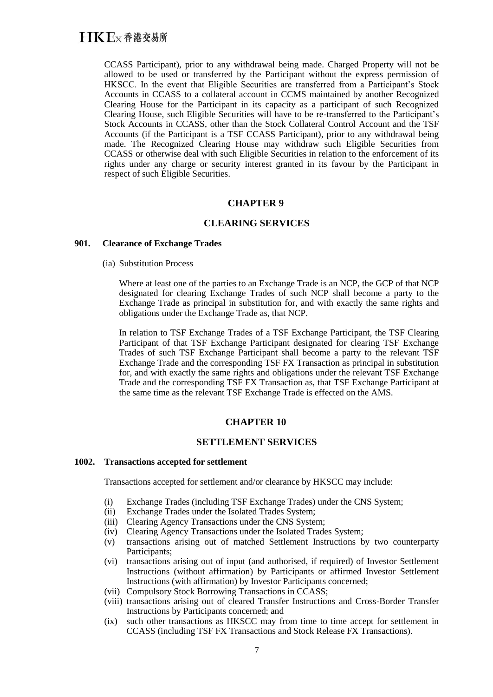CCASS Participant), prior to any withdrawal being made. Charged Property will not be allowed to be used or transferred by the Participant without the express permission of HKSCC. In the event that Eligible Securities are transferred from a Participant's Stock Accounts in CCASS to a collateral account in CCMS maintained by another Recognized Clearing House for the Participant in its capacity as a participant of such Recognized Clearing House, such Eligible Securities will have to be re-transferred to the Participant's Stock Accounts in CCASS, other than the Stock Collateral Control Account and the TSF Accounts (if the Participant is a TSF CCASS Participant), prior to any withdrawal being made. The Recognized Clearing House may withdraw such Eligible Securities from CCASS or otherwise deal with such Eligible Securities in relation to the enforcement of its rights under any charge or security interest granted in its favour by the Participant in respect of such Eligible Securities.

## **CHAPTER 9**

## **CLEARING SERVICES**

#### **901. Clearance of Exchange Trades**

(ia) Substitution Process

Where at least one of the parties to an Exchange Trade is an NCP, the GCP of that NCP designated for clearing Exchange Trades of such NCP shall become a party to the Exchange Trade as principal in substitution for, and with exactly the same rights and obligations under the Exchange Trade as, that NCP.

In relation to TSF Exchange Trades of a TSF Exchange Participant, the TSF Clearing Participant of that TSF Exchange Participant designated for clearing TSF Exchange Trades of such TSF Exchange Participant shall become a party to the relevant TSF Exchange Trade and the corresponding TSF FX Transaction as principal in substitution for, and with exactly the same rights and obligations under the relevant TSF Exchange Trade and the corresponding TSF FX Transaction as, that TSF Exchange Participant at the same time as the relevant TSF Exchange Trade is effected on the AMS.

## **CHAPTER 10**

## **SETTLEMENT SERVICES**

#### **1002. Transactions accepted for settlement**

Transactions accepted for settlement and/or clearance by HKSCC may include:

- (i) Exchange Trades (including TSF Exchange Trades) under the CNS System;
- (ii) Exchange Trades under the Isolated Trades System;
- (iii) Clearing Agency Transactions under the CNS System;
- (iv) Clearing Agency Transactions under the Isolated Trades System;
- (v) transactions arising out of matched Settlement Instructions by two counterparty Participants;
- (vi) transactions arising out of input (and authorised, if required) of Investor Settlement Instructions (without affirmation) by Participants or affirmed Investor Settlement Instructions (with affirmation) by Investor Participants concerned;
- (vii) Compulsory Stock Borrowing Transactions in CCASS;
- (viii) transactions arising out of cleared Transfer Instructions and Cross-Border Transfer Instructions by Participants concerned; and
- (ix) such other transactions as HKSCC may from time to time accept for settlement in CCASS (including TSF FX Transactions and Stock Release FX Transactions).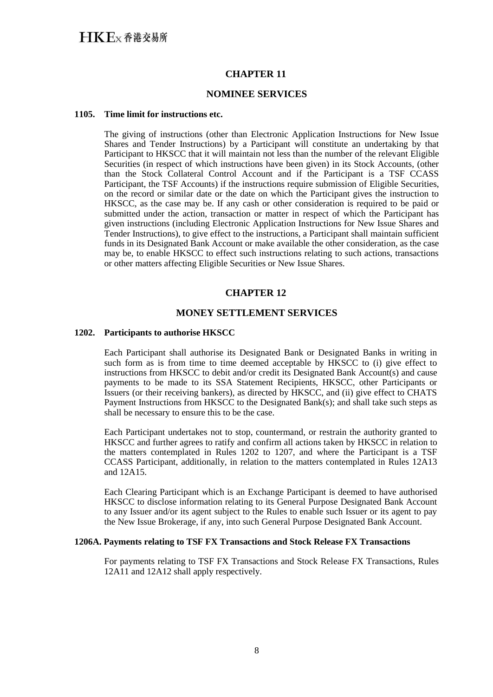## **CHAPTER 11**

## **NOMINEE SERVICES**

#### **1105. Time limit for instructions etc.**

The giving of instructions (other than Electronic Application Instructions for New Issue Shares and Tender Instructions) by a Participant will constitute an undertaking by that Participant to HKSCC that it will maintain not less than the number of the relevant Eligible Securities (in respect of which instructions have been given) in its Stock Accounts, (other than the Stock Collateral Control Account and if the Participant is a TSF CCASS Participant, the TSF Accounts) if the instructions require submission of Eligible Securities, on the record or similar date or the date on which the Participant gives the instruction to HKSCC, as the case may be. If any cash or other consideration is required to be paid or submitted under the action, transaction or matter in respect of which the Participant has given instructions (including Electronic Application Instructions for New Issue Shares and Tender Instructions), to give effect to the instructions, a Participant shall maintain sufficient funds in its Designated Bank Account or make available the other consideration, as the case may be, to enable HKSCC to effect such instructions relating to such actions, transactions or other matters affecting Eligible Securities or New Issue Shares.

## **CHAPTER 12**

## **MONEY SETTLEMENT SERVICES**

#### **1202. Participants to authorise HKSCC**

Each Participant shall authorise its Designated Bank or Designated Banks in writing in such form as is from time to time deemed acceptable by HKSCC to (i) give effect to instructions from HKSCC to debit and/or credit its Designated Bank Account(s) and cause payments to be made to its SSA Statement Recipients, HKSCC, other Participants or Issuers (or their receiving bankers), as directed by HKSCC, and (ii) give effect to CHATS Payment Instructions from HKSCC to the Designated Bank(s); and shall take such steps as shall be necessary to ensure this to be the case.

Each Participant undertakes not to stop, countermand, or restrain the authority granted to HKSCC and further agrees to ratify and confirm all actions taken by HKSCC in relation to the matters contemplated in Rules 1202 to 1207, and where the Participant is a TSF CCASS Participant, additionally, in relation to the matters contemplated in Rules 12A13 and 12A15.

Each Clearing Participant which is an Exchange Participant is deemed to have authorised HKSCC to disclose information relating to its General Purpose Designated Bank Account to any Issuer and/or its agent subject to the Rules to enable such Issuer or its agent to pay the New Issue Brokerage, if any, into such General Purpose Designated Bank Account.

## **1206A. Payments relating to TSF FX Transactions and Stock Release FX Transactions**

For payments relating to TSF FX Transactions and Stock Release FX Transactions, Rules 12A11 and 12A12 shall apply respectively.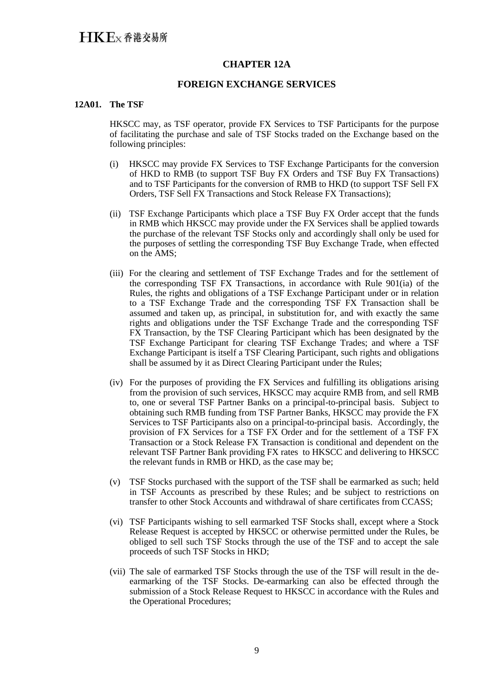## **CHAPTER 12A**

## **FOREIGN EXCHANGE SERVICES**

#### **12A01. The TSF**

HKSCC may, as TSF operator, provide FX Services to TSF Participants for the purpose of facilitating the purchase and sale of TSF Stocks traded on the Exchange based on the following principles:

- (i) HKSCC may provide FX Services to TSF Exchange Participants for the conversion of HKD to RMB (to support TSF Buy FX Orders and TSF Buy FX Transactions) and to TSF Participants for the conversion of RMB to HKD (to support TSF Sell FX Orders, TSF Sell FX Transactions and Stock Release FX Transactions);
- (ii) TSF Exchange Participants which place a TSF Buy FX Order accept that the funds in RMB which HKSCC may provide under the FX Services shall be applied towards the purchase of the relevant TSF Stocks only and accordingly shall only be used for the purposes of settling the corresponding TSF Buy Exchange Trade, when effected on the AMS;
- (iii) For the clearing and settlement of TSF Exchange Trades and for the settlement of the corresponding TSF FX Transactions, in accordance with Rule 901(ia) of the Rules, the rights and obligations of a TSF Exchange Participant under or in relation to a TSF Exchange Trade and the corresponding TSF FX Transaction shall be assumed and taken up, as principal, in substitution for, and with exactly the same rights and obligations under the TSF Exchange Trade and the corresponding TSF FX Transaction, by the TSF Clearing Participant which has been designated by the TSF Exchange Participant for clearing TSF Exchange Trades; and where a TSF Exchange Participant is itself a TSF Clearing Participant, such rights and obligations shall be assumed by it as Direct Clearing Participant under the Rules;
- (iv) For the purposes of providing the FX Services and fulfilling its obligations arising from the provision of such services, HKSCC may acquire RMB from, and sell RMB to, one or several TSF Partner Banks on a principal-to-principal basis. Subject to obtaining such RMB funding from TSF Partner Banks, HKSCC may provide the FX Services to TSF Participants also on a principal-to-principal basis. Accordingly, the provision of FX Services for a TSF FX Order and for the settlement of a TSF FX Transaction or a Stock Release FX Transaction is conditional and dependent on the relevant TSF Partner Bank providing FX rates to HKSCC and delivering to HKSCC the relevant funds in RMB or HKD, as the case may be;
- (v) TSF Stocks purchased with the support of the TSF shall be earmarked as such; held in TSF Accounts as prescribed by these Rules; and be subject to restrictions on transfer to other Stock Accounts and withdrawal of share certificates from CCASS;
- (vi) TSF Participants wishing to sell earmarked TSF Stocks shall, except where a Stock Release Request is accepted by HKSCC or otherwise permitted under the Rules, be obliged to sell such TSF Stocks through the use of the TSF and to accept the sale proceeds of such TSF Stocks in HKD;
- (vii) The sale of earmarked TSF Stocks through the use of the TSF will result in the deearmarking of the TSF Stocks. De-earmarking can also be effected through the submission of a Stock Release Request to HKSCC in accordance with the Rules and the Operational Procedures;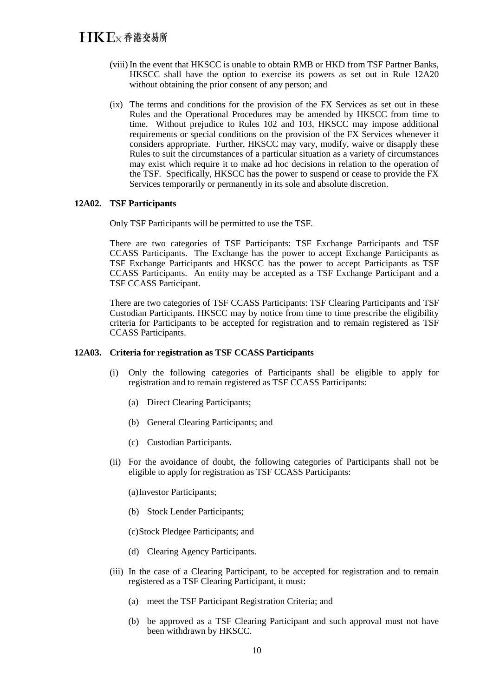- (viii) In the event that HKSCC is unable to obtain RMB or HKD from TSF Partner Banks, HKSCC shall have the option to exercise its powers as set out in Rule 12A20 without obtaining the prior consent of any person; and
- (ix) The terms and conditions for the provision of the FX Services as set out in these Rules and the Operational Procedures may be amended by HKSCC from time to time. Without prejudice to Rules 102 and 103, HKSCC may impose additional requirements or special conditions on the provision of the FX Services whenever it considers appropriate. Further, HKSCC may vary, modify, waive or disapply these Rules to suit the circumstances of a particular situation as a variety of circumstances may exist which require it to make ad hoc decisions in relation to the operation of the TSF. Specifically, HKSCC has the power to suspend or cease to provide the FX Services temporarily or permanently in its sole and absolute discretion.

## **12A02. TSF Participants**

Only TSF Participants will be permitted to use the TSF.

There are two categories of TSF Participants: TSF Exchange Participants and TSF CCASS Participants. The Exchange has the power to accept Exchange Participants as TSF Exchange Participants and HKSCC has the power to accept Participants as TSF CCASS Participants. An entity may be accepted as a TSF Exchange Participant and a TSF CCASS Participant.

There are two categories of TSF CCASS Participants: TSF Clearing Participants and TSF Custodian Participants. HKSCC may by notice from time to time prescribe the eligibility criteria for Participants to be accepted for registration and to remain registered as TSF CCASS Participants.

### **12A03. Criteria for registration as TSF CCASS Participants**

- (i) Only the following categories of Participants shall be eligible to apply for registration and to remain registered as TSF CCASS Participants:
	- (a) Direct Clearing Participants;
	- (b) General Clearing Participants; and
	- (c) Custodian Participants.
- (ii) For the avoidance of doubt, the following categories of Participants shall not be eligible to apply for registration as TSF CCASS Participants:

(a)Investor Participants;

- (b) Stock Lender Participants;
- (c)Stock Pledgee Participants; and
- (d) Clearing Agency Participants.
- (iii) In the case of a Clearing Participant, to be accepted for registration and to remain registered as a TSF Clearing Participant, it must:
	- (a) meet the TSF Participant Registration Criteria; and
	- (b) be approved as a TSF Clearing Participant and such approval must not have been withdrawn by HKSCC.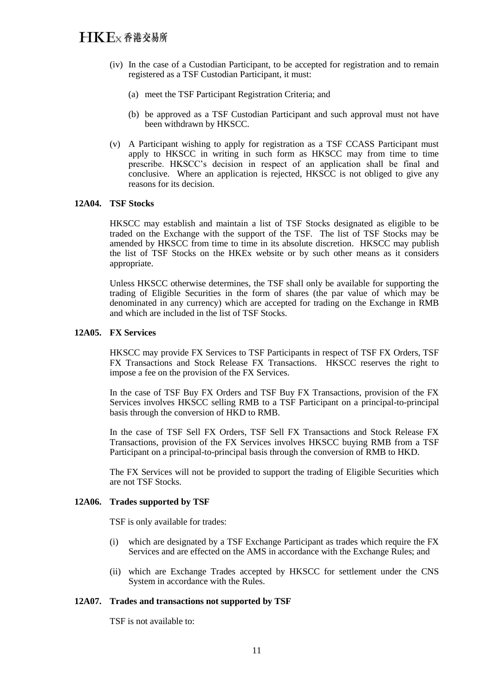- (iv) In the case of a Custodian Participant, to be accepted for registration and to remain registered as a TSF Custodian Participant, it must:
	- (a) meet the TSF Participant Registration Criteria; and
	- (b) be approved as a TSF Custodian Participant and such approval must not have been withdrawn by HKSCC.
- (v) A Participant wishing to apply for registration as a TSF CCASS Participant must apply to HKSCC in writing in such form as HKSCC may from time to time prescribe. HKSCC's decision in respect of an application shall be final and conclusive. Where an application is rejected, HKSCC is not obliged to give any reasons for its decision.

### **12A04. TSF Stocks**

HKSCC may establish and maintain a list of TSF Stocks designated as eligible to be traded on the Exchange with the support of the TSF. The list of TSF Stocks may be amended by HKSCC from time to time in its absolute discretion. HKSCC may publish the list of TSF Stocks on the HKEx website or by such other means as it considers appropriate.

Unless HKSCC otherwise determines, the TSF shall only be available for supporting the trading of Eligible Securities in the form of shares (the par value of which may be denominated in any currency) which are accepted for trading on the Exchange in RMB and which are included in the list of TSF Stocks.

#### **12A05. FX Services**

HKSCC may provide FX Services to TSF Participants in respect of TSF FX Orders, TSF FX Transactions and Stock Release FX Transactions. HKSCC reserves the right to impose a fee on the provision of the FX Services.

In the case of TSF Buy FX Orders and TSF Buy FX Transactions, provision of the FX Services involves HKSCC selling RMB to a TSF Participant on a principal-to-principal basis through the conversion of HKD to RMB.

In the case of TSF Sell FX Orders, TSF Sell FX Transactions and Stock Release FX Transactions, provision of the FX Services involves HKSCC buying RMB from a TSF Participant on a principal-to-principal basis through the conversion of RMB to HKD.

The FX Services will not be provided to support the trading of Eligible Securities which are not TSF Stocks.

#### **12A06. Trades supported by TSF**

TSF is only available for trades:

- (i) which are designated by a TSF Exchange Participant as trades which require the FX Services and are effected on the AMS in accordance with the Exchange Rules; and
- (ii) which are Exchange Trades accepted by HKSCC for settlement under the CNS System in accordance with the Rules.

## **12A07. Trades and transactions not supported by TSF**

TSF is not available to: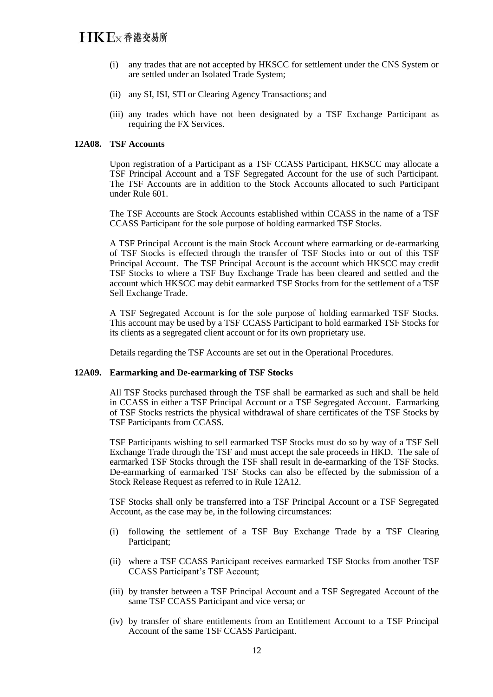- (i) any trades that are not accepted by HKSCC for settlement under the CNS System or are settled under an Isolated Trade System;
- (ii) any SI, ISI, STI or Clearing Agency Transactions; and
- (iii) any trades which have not been designated by a TSF Exchange Participant as requiring the FX Services.

#### **12A08. TSF Accounts**

Upon registration of a Participant as a TSF CCASS Participant, HKSCC may allocate a TSF Principal Account and a TSF Segregated Account for the use of such Participant. The TSF Accounts are in addition to the Stock Accounts allocated to such Participant under Rule 601.

The TSF Accounts are Stock Accounts established within CCASS in the name of a TSF CCASS Participant for the sole purpose of holding earmarked TSF Stocks.

A TSF Principal Account is the main Stock Account where earmarking or de-earmarking of TSF Stocks is effected through the transfer of TSF Stocks into or out of this TSF Principal Account. The TSF Principal Account is the account which HKSCC may credit TSF Stocks to where a TSF Buy Exchange Trade has been cleared and settled and the account which HKSCC may debit earmarked TSF Stocks from for the settlement of a TSF Sell Exchange Trade.

A TSF Segregated Account is for the sole purpose of holding earmarked TSF Stocks. This account may be used by a TSF CCASS Participant to hold earmarked TSF Stocks for its clients as a segregated client account or for its own proprietary use.

Details regarding the TSF Accounts are set out in the Operational Procedures.

#### **12A09. Earmarking and De-earmarking of TSF Stocks**

All TSF Stocks purchased through the TSF shall be earmarked as such and shall be held in CCASS in either a TSF Principal Account or a TSF Segregated Account. Earmarking of TSF Stocks restricts the physical withdrawal of share certificates of the TSF Stocks by TSF Participants from CCASS.

TSF Participants wishing to sell earmarked TSF Stocks must do so by way of a TSF Sell Exchange Trade through the TSF and must accept the sale proceeds in HKD. The sale of earmarked TSF Stocks through the TSF shall result in de-earmarking of the TSF Stocks. De-earmarking of earmarked TSF Stocks can also be effected by the submission of a Stock Release Request as referred to in Rule 12A12.

TSF Stocks shall only be transferred into a TSF Principal Account or a TSF Segregated Account, as the case may be, in the following circumstances:

- (i) following the settlement of a TSF Buy Exchange Trade by a TSF Clearing Participant;
- (ii) where a TSF CCASS Participant receives earmarked TSF Stocks from another TSF CCASS Participant's TSF Account;
- (iii) by transfer between a TSF Principal Account and a TSF Segregated Account of the same TSF CCASS Participant and vice versa; or
- (iv) by transfer of share entitlements from an Entitlement Account to a TSF Principal Account of the same TSF CCASS Participant.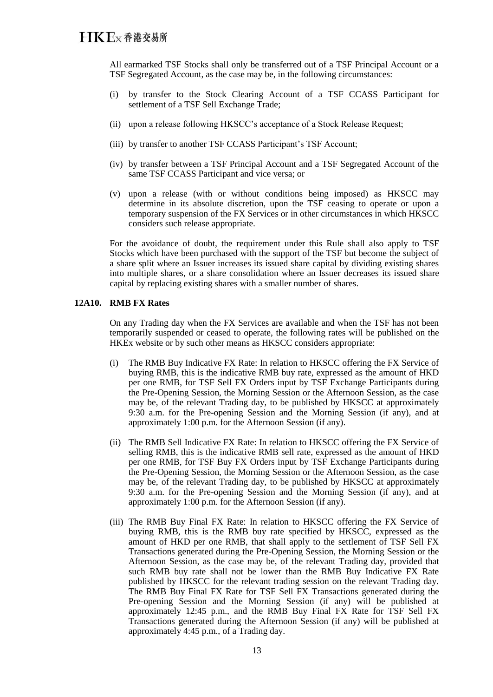## $H$  $K$  $E$  $x$   $A$  $E$  $\chi$   $B$  $\chi$  $B$   $\eta$

All earmarked TSF Stocks shall only be transferred out of a TSF Principal Account or a TSF Segregated Account, as the case may be, in the following circumstances:

- (i) by transfer to the Stock Clearing Account of a TSF CCASS Participant for settlement of a TSF Sell Exchange Trade;
- (ii) upon a release following HKSCC's acceptance of a Stock Release Request;
- (iii) by transfer to another TSF CCASS Participant's TSF Account;
- (iv) by transfer between a TSF Principal Account and a TSF Segregated Account of the same TSF CCASS Participant and vice versa; or
- (v) upon a release (with or without conditions being imposed) as HKSCC may determine in its absolute discretion, upon the TSF ceasing to operate or upon a temporary suspension of the FX Services or in other circumstances in which HKSCC considers such release appropriate.

For the avoidance of doubt, the requirement under this Rule shall also apply to TSF Stocks which have been purchased with the support of the TSF but become the subject of a share split where an Issuer increases its issued share capital by dividing existing shares into multiple shares, or a share consolidation where an Issuer decreases its issued share capital by replacing existing shares with a smaller number of shares.

## **12A10. RMB FX Rates**

On any Trading day when the FX Services are available and when the TSF has not been temporarily suspended or ceased to operate, the following rates will be published on the HKEx website or by such other means as HKSCC considers appropriate:

- (i) The RMB Buy Indicative FX Rate: In relation to HKSCC offering the FX Service of buying RMB, this is the indicative RMB buy rate, expressed as the amount of HKD per one RMB, for TSF Sell FX Orders input by TSF Exchange Participants during the Pre-Opening Session, the Morning Session or the Afternoon Session, as the case may be, of the relevant Trading day, to be published by HKSCC at approximately 9:30 a.m. for the Pre-opening Session and the Morning Session (if any), and at approximately 1:00 p.m. for the Afternoon Session (if any).
- (ii) The RMB Sell Indicative FX Rate: In relation to HKSCC offering the FX Service of selling RMB, this is the indicative RMB sell rate, expressed as the amount of HKD per one RMB, for TSF Buy FX Orders input by TSF Exchange Participants during the Pre-Opening Session, the Morning Session or the Afternoon Session, as the case may be, of the relevant Trading day, to be published by HKSCC at approximately 9:30 a.m. for the Pre-opening Session and the Morning Session (if any), and at approximately 1:00 p.m. for the Afternoon Session (if any).
- (iii) The RMB Buy Final FX Rate: In relation to HKSCC offering the FX Service of buying RMB, this is the RMB buy rate specified by HKSCC, expressed as the amount of HKD per one RMB, that shall apply to the settlement of TSF Sell FX Transactions generated during the Pre-Opening Session, the Morning Session or the Afternoon Session, as the case may be, of the relevant Trading day, provided that such RMB buy rate shall not be lower than the RMB Buy Indicative FX Rate published by HKSCC for the relevant trading session on the relevant Trading day. The RMB Buy Final FX Rate for TSF Sell FX Transactions generated during the Pre-opening Session and the Morning Session (if any) will be published at approximately 12:45 p.m., and the RMB Buy Final FX Rate for TSF Sell FX Transactions generated during the Afternoon Session (if any) will be published at approximately 4:45 p.m., of a Trading day.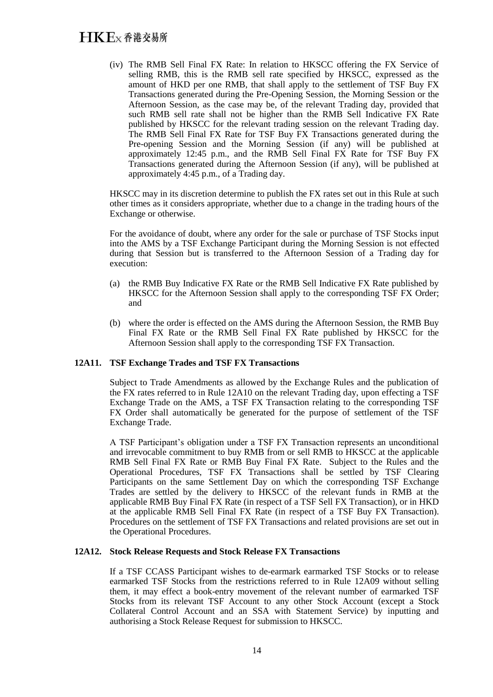(iv) The RMB Sell Final FX Rate: In relation to HKSCC offering the FX Service of selling RMB, this is the RMB sell rate specified by HKSCC, expressed as the amount of HKD per one RMB, that shall apply to the settlement of TSF Buy FX Transactions generated during the Pre-Opening Session, the Morning Session or the Afternoon Session, as the case may be, of the relevant Trading day, provided that such RMB sell rate shall not be higher than the RMB Sell Indicative FX Rate published by HKSCC for the relevant trading session on the relevant Trading day. The RMB Sell Final FX Rate for TSF Buy FX Transactions generated during the Pre-opening Session and the Morning Session (if any) will be published at approximately 12:45 p.m., and the RMB Sell Final FX Rate for TSF Buy FX Transactions generated during the Afternoon Session (if any), will be published at approximately 4:45 p.m., of a Trading day.

HKSCC may in its discretion determine to publish the FX rates set out in this Rule at such other times as it considers appropriate, whether due to a change in the trading hours of the Exchange or otherwise.

For the avoidance of doubt, where any order for the sale or purchase of TSF Stocks input into the AMS by a TSF Exchange Participant during the Morning Session is not effected during that Session but is transferred to the Afternoon Session of a Trading day for execution:

- (a) the RMB Buy Indicative FX Rate or the RMB Sell Indicative FX Rate published by HKSCC for the Afternoon Session shall apply to the corresponding TSF FX Order; and
- (b) where the order is effected on the AMS during the Afternoon Session, the RMB Buy Final FX Rate or the RMB Sell Final FX Rate published by HKSCC for the Afternoon Session shall apply to the corresponding TSF FX Transaction.

## **12A11. TSF Exchange Trades and TSF FX Transactions**

Subject to Trade Amendments as allowed by the Exchange Rules and the publication of the FX rates referred to in Rule 12A10 on the relevant Trading day, upon effecting a TSF Exchange Trade on the AMS, a TSF FX Transaction relating to the corresponding TSF FX Order shall automatically be generated for the purpose of settlement of the TSF Exchange Trade.

A TSF Participant's obligation under a TSF FX Transaction represents an unconditional and irrevocable commitment to buy RMB from or sell RMB to HKSCC at the applicable RMB Sell Final FX Rate or RMB Buy Final FX Rate. Subject to the Rules and the Operational Procedures, TSF FX Transactions shall be settled by TSF Clearing Participants on the same Settlement Day on which the corresponding TSF Exchange Trades are settled by the delivery to HKSCC of the relevant funds in RMB at the applicable RMB Buy Final FX Rate (in respect of a TSF Sell FX Transaction), or in HKD at the applicable RMB Sell Final FX Rate (in respect of a TSF Buy FX Transaction). Procedures on the settlement of TSF FX Transactions and related provisions are set out in the Operational Procedures.

## **12A12. Stock Release Requests and Stock Release FX Transactions**

If a TSF CCASS Participant wishes to de-earmark earmarked TSF Stocks or to release earmarked TSF Stocks from the restrictions referred to in Rule 12A09 without selling them, it may effect a book-entry movement of the relevant number of earmarked TSF Stocks from its relevant TSF Account to any other Stock Account (except a Stock Collateral Control Account and an SSA with Statement Service) by inputting and authorising a Stock Release Request for submission to HKSCC.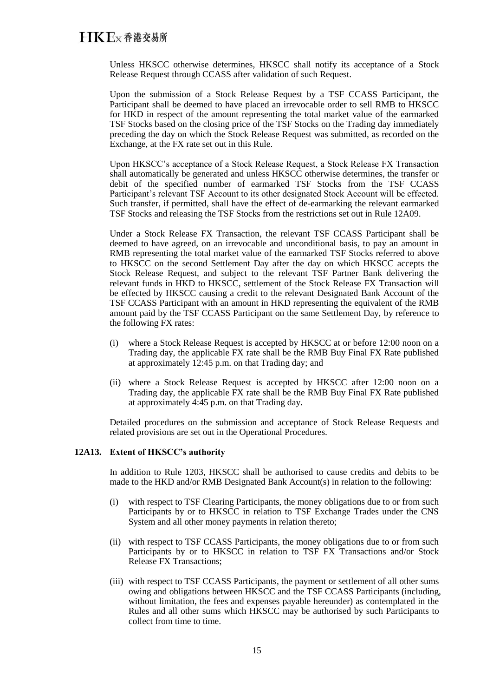Unless HKSCC otherwise determines, HKSCC shall notify its acceptance of a Stock Release Request through CCASS after validation of such Request.

Upon the submission of a Stock Release Request by a TSF CCASS Participant, the Participant shall be deemed to have placed an irrevocable order to sell RMB to HKSCC for HKD in respect of the amount representing the total market value of the earmarked TSF Stocks based on the closing price of the TSF Stocks on the Trading day immediately preceding the day on which the Stock Release Request was submitted, as recorded on the Exchange, at the FX rate set out in this Rule.

Upon HKSCC's acceptance of a Stock Release Request, a Stock Release FX Transaction shall automatically be generated and unless HKSCC otherwise determines, the transfer or debit of the specified number of earmarked TSF Stocks from the TSF CCASS Participant's relevant TSF Account to its other designated Stock Account will be effected. Such transfer, if permitted, shall have the effect of de-earmarking the relevant earmarked TSF Stocks and releasing the TSF Stocks from the restrictions set out in Rule 12A09.

Under a Stock Release FX Transaction, the relevant TSF CCASS Participant shall be deemed to have agreed, on an irrevocable and unconditional basis, to pay an amount in RMB representing the total market value of the earmarked TSF Stocks referred to above to HKSCC on the second Settlement Day after the day on which HKSCC accepts the Stock Release Request, and subject to the relevant TSF Partner Bank delivering the relevant funds in HKD to HKSCC, settlement of the Stock Release FX Transaction will be effected by HKSCC causing a credit to the relevant Designated Bank Account of the TSF CCASS Participant with an amount in HKD representing the equivalent of the RMB amount paid by the TSF CCASS Participant on the same Settlement Day, by reference to the following FX rates:

- (i) where a Stock Release Request is accepted by HKSCC at or before 12:00 noon on a Trading day, the applicable FX rate shall be the RMB Buy Final FX Rate published at approximately 12:45 p.m. on that Trading day; and
- (ii) where a Stock Release Request is accepted by HKSCC after 12:00 noon on a Trading day, the applicable FX rate shall be the RMB Buy Final FX Rate published at approximately 4:45 p.m. on that Trading day.

Detailed procedures on the submission and acceptance of Stock Release Requests and related provisions are set out in the Operational Procedures.

## **12A13. Extent of HKSCC's authority**

In addition to Rule 1203, HKSCC shall be authorised to cause credits and debits to be made to the HKD and/or RMB Designated Bank Account(s) in relation to the following:

- (i) with respect to TSF Clearing Participants, the money obligations due to or from such Participants by or to HKSCC in relation to TSF Exchange Trades under the CNS System and all other money payments in relation thereto;
- (ii) with respect to TSF CCASS Participants, the money obligations due to or from such Participants by or to HKSCC in relation to TSF FX Transactions and/or Stock Release FX Transactions;
- (iii) with respect to TSF CCASS Participants, the payment or settlement of all other sums owing and obligations between HKSCC and the TSF CCASS Participants (including, without limitation, the fees and expenses payable hereunder) as contemplated in the Rules and all other sums which HKSCC may be authorised by such Participants to collect from time to time.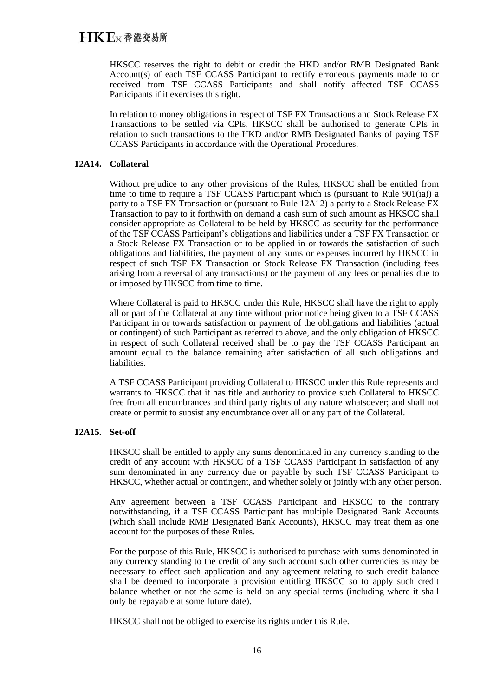HKSCC reserves the right to debit or credit the HKD and/or RMB Designated Bank Account(s) of each TSF CCASS Participant to rectify erroneous payments made to or received from TSF CCASS Participants and shall notify affected TSF CCASS Participants if it exercises this right.

In relation to money obligations in respect of TSF FX Transactions and Stock Release FX Transactions to be settled via CPIs, HKSCC shall be authorised to generate CPIs in relation to such transactions to the HKD and/or RMB Designated Banks of paying TSF CCASS Participants in accordance with the Operational Procedures.

## **12A14. Collateral**

Without prejudice to any other provisions of the Rules, HKSCC shall be entitled from time to time to require a TSF CCASS Participant which is (pursuant to Rule 901(ia)) a party to a TSF FX Transaction or (pursuant to Rule 12A12) a party to a Stock Release FX Transaction to pay to it forthwith on demand a cash sum of such amount as HKSCC shall consider appropriate as Collateral to be held by HKSCC as security for the performance of the TSF CCASS Participant's obligations and liabilities under a TSF FX Transaction or a Stock Release FX Transaction or to be applied in or towards the satisfaction of such obligations and liabilities, the payment of any sums or expenses incurred by HKSCC in respect of such TSF FX Transaction or Stock Release FX Transaction (including fees arising from a reversal of any transactions) or the payment of any fees or penalties due to or imposed by HKSCC from time to time.

Where Collateral is paid to HKSCC under this Rule, HKSCC shall have the right to apply all or part of the Collateral at any time without prior notice being given to a TSF CCASS Participant in or towards satisfaction or payment of the obligations and liabilities (actual or contingent) of such Participant as referred to above, and the only obligation of HKSCC in respect of such Collateral received shall be to pay the TSF CCASS Participant an amount equal to the balance remaining after satisfaction of all such obligations and liabilities.

A TSF CCASS Participant providing Collateral to HKSCC under this Rule represents and warrants to HKSCC that it has title and authority to provide such Collateral to HKSCC free from all encumbrances and third party rights of any nature whatsoever; and shall not create or permit to subsist any encumbrance over all or any part of the Collateral.

#### **12A15. Set-off**

HKSCC shall be entitled to apply any sums denominated in any currency standing to the credit of any account with HKSCC of a TSF CCASS Participant in satisfaction of any sum denominated in any currency due or payable by such TSF CCASS Participant to HKSCC, whether actual or contingent, and whether solely or jointly with any other person.

Any agreement between a TSF CCASS Participant and HKSCC to the contrary notwithstanding, if a TSF CCASS Participant has multiple Designated Bank Accounts (which shall include RMB Designated Bank Accounts), HKSCC may treat them as one account for the purposes of these Rules.

For the purpose of this Rule, HKSCC is authorised to purchase with sums denominated in any currency standing to the credit of any such account such other currencies as may be necessary to effect such application and any agreement relating to such credit balance shall be deemed to incorporate a provision entitling HKSCC so to apply such credit balance whether or not the same is held on any special terms (including where it shall only be repayable at some future date).

HKSCC shall not be obliged to exercise its rights under this Rule.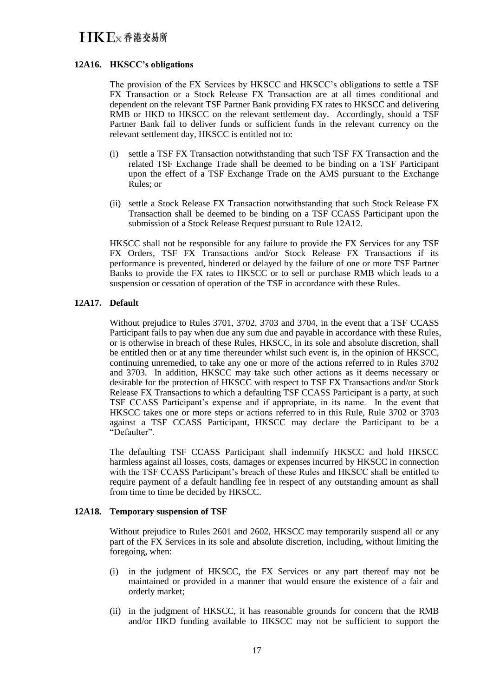## **12A16. HKSCC's obligations**

The provision of the FX Services by HKSCC and HKSCC's obligations to settle a TSF FX Transaction or a Stock Release FX Transaction are at all times conditional and dependent on the relevant TSF Partner Bank providing FX rates to HKSCC and delivering RMB or HKD to HKSCC on the relevant settlement day. Accordingly, should a TSF Partner Bank fail to deliver funds or sufficient funds in the relevant currency on the relevant settlement day, HKSCC is entitled not to:

- (i) settle a TSF FX Transaction notwithstanding that such TSF FX Transaction and the related TSF Exchange Trade shall be deemed to be binding on a TSF Participant upon the effect of a TSF Exchange Trade on the AMS pursuant to the Exchange Rules; or
- (ii) settle a Stock Release FX Transaction notwithstanding that such Stock Release FX Transaction shall be deemed to be binding on a TSF CCASS Participant upon the submission of a Stock Release Request pursuant to Rule 12A12.

HKSCC shall not be responsible for any failure to provide the FX Services for any TSF FX Orders, TSF FX Transactions and/or Stock Release FX Transactions if its performance is prevented, hindered or delayed by the failure of one or more TSF Partner Banks to provide the FX rates to HKSCC or to sell or purchase RMB which leads to a suspension or cessation of operation of the TSF in accordance with these Rules.

## **12A17. Default**

Without prejudice to Rules 3701, 3702, 3703 and 3704, in the event that a TSF CCASS Participant fails to pay when due any sum due and payable in accordance with these Rules, or is otherwise in breach of these Rules, HKSCC, in its sole and absolute discretion, shall be entitled then or at any time thereunder whilst such event is, in the opinion of HKSCC, continuing unremedied, to take any one or more of the actions referred to in Rules 3702 and 3703. In addition, HKSCC may take such other actions as it deems necessary or desirable for the protection of HKSCC with respect to TSF FX Transactions and/or Stock Release FX Transactions to which a defaulting TSF CCASS Participant is a party, at such TSF CCASS Participant's expense and if appropriate, in its name. In the event that HKSCC takes one or more steps or actions referred to in this Rule, Rule 3702 or 3703 against a TSF CCASS Participant, HKSCC may declare the Participant to be a "Defaulter".

The defaulting TSF CCASS Participant shall indemnify HKSCC and hold HKSCC harmless against all losses, costs, damages or expenses incurred by HKSCC in connection with the TSF CCASS Participant's breach of these Rules and HKSCC shall be entitled to require payment of a default handling fee in respect of any outstanding amount as shall from time to time be decided by HKSCC.

## **12A18. Temporary suspension of TSF**

Without prejudice to Rules 2601 and 2602, HKSCC may temporarily suspend all or any part of the FX Services in its sole and absolute discretion, including, without limiting the foregoing, when:

- (i) in the judgment of HKSCC, the FX Services or any part thereof may not be maintained or provided in a manner that would ensure the existence of a fair and orderly market;
- (ii) in the judgment of HKSCC, it has reasonable grounds for concern that the RMB and/or HKD funding available to HKSCC may not be sufficient to support the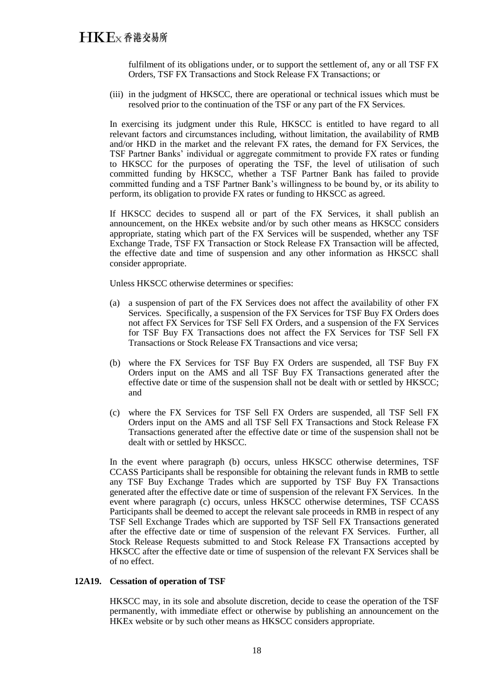fulfilment of its obligations under, or to support the settlement of, any or all TSF FX Orders, TSF FX Transactions and Stock Release FX Transactions; or

(iii) in the judgment of HKSCC, there are operational or technical issues which must be resolved prior to the continuation of the TSF or any part of the FX Services.

In exercising its judgment under this Rule, HKSCC is entitled to have regard to all relevant factors and circumstances including, without limitation, the availability of RMB and/or HKD in the market and the relevant FX rates, the demand for FX Services, the TSF Partner Banks' individual or aggregate commitment to provide FX rates or funding to HKSCC for the purposes of operating the TSF, the level of utilisation of such committed funding by HKSCC, whether a TSF Partner Bank has failed to provide committed funding and a TSF Partner Bank's willingness to be bound by, or its ability to perform, its obligation to provide FX rates or funding to HKSCC as agreed.

If HKSCC decides to suspend all or part of the FX Services, it shall publish an announcement, on the HKEx website and/or by such other means as HKSCC considers appropriate, stating which part of the FX Services will be suspended, whether any TSF Exchange Trade, TSF FX Transaction or Stock Release FX Transaction will be affected, the effective date and time of suspension and any other information as HKSCC shall consider appropriate.

Unless HKSCC otherwise determines or specifies:

- (a) a suspension of part of the FX Services does not affect the availability of other FX Services. Specifically, a suspension of the FX Services for TSF Buy FX Orders does not affect FX Services for TSF Sell FX Orders, and a suspension of the FX Services for TSF Buy FX Transactions does not affect the FX Services for TSF Sell FX Transactions or Stock Release FX Transactions and vice versa;
- (b) where the FX Services for TSF Buy FX Orders are suspended, all TSF Buy FX Orders input on the AMS and all TSF Buy FX Transactions generated after the effective date or time of the suspension shall not be dealt with or settled by HKSCC; and
- (c) where the FX Services for TSF Sell FX Orders are suspended, all TSF Sell FX Orders input on the AMS and all TSF Sell FX Transactions and Stock Release FX Transactions generated after the effective date or time of the suspension shall not be dealt with or settled by HKSCC.

In the event where paragraph (b) occurs, unless HKSCC otherwise determines, TSF CCASS Participants shall be responsible for obtaining the relevant funds in RMB to settle any TSF Buy Exchange Trades which are supported by TSF Buy FX Transactions generated after the effective date or time of suspension of the relevant FX Services. In the event where paragraph (c) occurs, unless HKSCC otherwise determines, TSF CCASS Participants shall be deemed to accept the relevant sale proceeds in RMB in respect of any TSF Sell Exchange Trades which are supported by TSF Sell FX Transactions generated after the effective date or time of suspension of the relevant FX Services. Further, all Stock Release Requests submitted to and Stock Release FX Transactions accepted by HKSCC after the effective date or time of suspension of the relevant FX Services shall be of no effect.

#### **12A19. Cessation of operation of TSF**

HKSCC may, in its sole and absolute discretion, decide to cease the operation of the TSF permanently, with immediate effect or otherwise by publishing an announcement on the HKEx website or by such other means as HKSCC considers appropriate.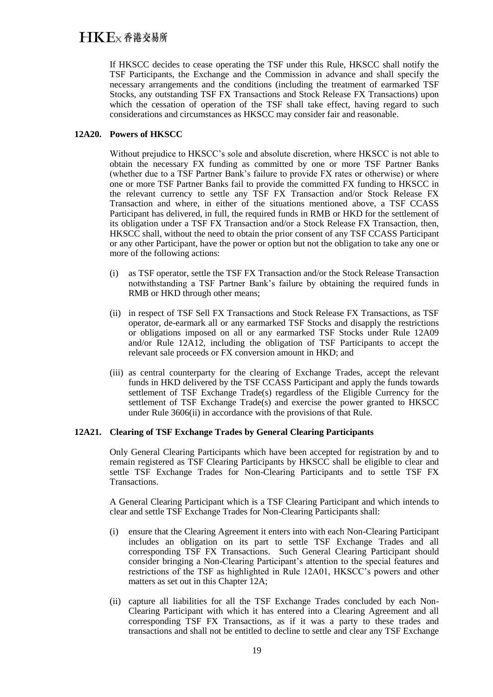If HKSCC decides to cease operating the TSF under this Rule, HKSCC shall notify the TSF Participants, the Exchange and the Commission in advance and shall specify the necessary arrangements and the conditions (including the treatment of earmarked TSF Stocks, any outstanding TSF FX Transactions and Stock Release FX Transactions) upon which the cessation of operation of the TSF shall take effect, having regard to such considerations and circumstances as HKSCC may consider fair and reasonable.

## **12A20. Powers of HKSCC**

Without prejudice to HKSCC's sole and absolute discretion, where HKSCC is not able to obtain the necessary FX funding as committed by one or more TSF Partner Banks (whether due to a TSF Partner Bank's failure to provide FX rates or otherwise) or where one or more TSF Partner Banks fail to provide the committed FX funding to HKSCC in the relevant currency to settle any TSF FX Transaction and/or Stock Release FX Transaction and where, in either of the situations mentioned above, a TSF CCASS Participant has delivered, in full, the required funds in RMB or HKD for the settlement of its obligation under a TSF FX Transaction and/or a Stock Release FX Transaction, then, HKSCC shall, without the need to obtain the prior consent of any TSF CCASS Participant or any other Participant, have the power or option but not the obligation to take any one or more of the following actions:

- (i) as TSF operator, settle the TSF FX Transaction and/or the Stock Release Transaction notwithstanding a TSF Partner Bank's failure by obtaining the required funds in RMB or HKD through other means;
- (ii) in respect of TSF Sell FX Transactions and Stock Release FX Transactions, as TSF operator, de-earmark all or any earmarked TSF Stocks and disapply the restrictions or obligations imposed on all or any earmarked TSF Stocks under Rule 12A09 and/or Rule 12A12, including the obligation of TSF Participants to accept the relevant sale proceeds or FX conversion amount in HKD; and
- (iii) as central counterparty for the clearing of Exchange Trades, accept the relevant funds in HKD delivered by the TSF CCASS Participant and apply the funds towards settlement of TSF Exchange Trade(s) regardless of the Eligible Currency for the settlement of TSF Exchange Trade(s) and exercise the power granted to HKSCC under Rule 3606(ii) in accordance with the provisions of that Rule.

## **12A21. Clearing of TSF Exchange Trades by General Clearing Participants**

Only General Clearing Participants which have been accepted for registration by and to remain registered as TSF Clearing Participants by HKSCC shall be eligible to clear and settle TSF Exchange Trades for Non-Clearing Participants and to settle TSF FX Transactions.

A General Clearing Participant which is a TSF Clearing Participant and which intends to clear and settle TSF Exchange Trades for Non-Clearing Participants shall:

- (i) ensure that the Clearing Agreement it enters into with each Non-Clearing Participant includes an obligation on its part to settle TSF Exchange Trades and all corresponding TSF FX Transactions. Such General Clearing Participant should consider bringing a Non-Clearing Participant's attention to the special features and restrictions of the TSF as highlighted in Rule 12A01, HKSCC's powers and other matters as set out in this Chapter 12A;
- (ii) capture all liabilities for all the TSF Exchange Trades concluded by each Non-Clearing Participant with which it has entered into a Clearing Agreement and all corresponding TSF FX Transactions, as if it was a party to these trades and transactions and shall not be entitled to decline to settle and clear any TSF Exchange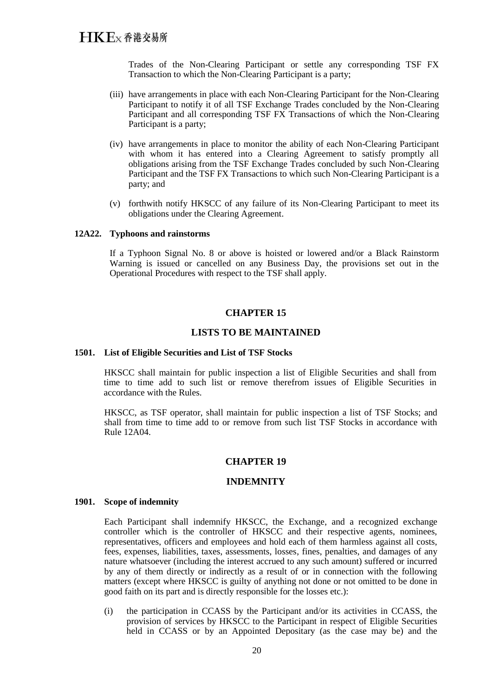Trades of the Non-Clearing Participant or settle any corresponding TSF FX Transaction to which the Non-Clearing Participant is a party;

- (iii) have arrangements in place with each Non-Clearing Participant for the Non-Clearing Participant to notify it of all TSF Exchange Trades concluded by the Non-Clearing Participant and all corresponding TSF FX Transactions of which the Non-Clearing Participant is a party;
- (iv) have arrangements in place to monitor the ability of each Non-Clearing Participant with whom it has entered into a Clearing Agreement to satisfy promptly all obligations arising from the TSF Exchange Trades concluded by such Non-Clearing Participant and the TSF FX Transactions to which such Non-Clearing Participant is a party; and
- (v) forthwith notify HKSCC of any failure of its Non-Clearing Participant to meet its obligations under the Clearing Agreement.

#### **12A22. Typhoons and rainstorms**

If a Typhoon Signal No. 8 or above is hoisted or lowered and/or a Black Rainstorm Warning is issued or cancelled on any Business Day, the provisions set out in the Operational Procedures with respect to the TSF shall apply.

### **CHAPTER 15**

#### **LISTS TO BE MAINTAINED**

#### **1501. List of Eligible Securities and List of TSF Stocks**

HKSCC shall maintain for public inspection a list of Eligible Securities and shall from time to time add to such list or remove therefrom issues of Eligible Securities in accordance with the Rules.

HKSCC, as TSF operator, shall maintain for public inspection a list of TSF Stocks; and shall from time to time add to or remove from such list TSF Stocks in accordance with Rule 12A04.

#### **CHAPTER 19**

#### **INDEMNITY**

#### **1901. Scope of indemnity**

Each Participant shall indemnify HKSCC, the Exchange, and a recognized exchange controller which is the controller of HKSCC and their respective agents, nominees, representatives, officers and employees and hold each of them harmless against all costs, fees, expenses, liabilities, taxes, assessments, losses, fines, penalties, and damages of any nature whatsoever (including the interest accrued to any such amount) suffered or incurred by any of them directly or indirectly as a result of or in connection with the following matters (except where HKSCC is guilty of anything not done or not omitted to be done in good faith on its part and is directly responsible for the losses etc.):

(i) the participation in CCASS by the Participant and/or its activities in CCASS, the provision of services by HKSCC to the Participant in respect of Eligible Securities held in CCASS or by an Appointed Depositary (as the case may be) and the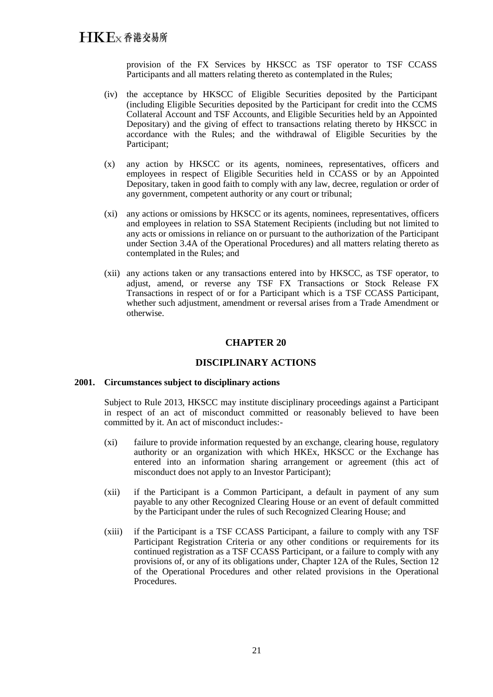provision of the FX Services by HKSCC as TSF operator to TSF CCASS Participants and all matters relating thereto as contemplated in the Rules;

- (iv) the acceptance by HKSCC of Eligible Securities deposited by the Participant (including Eligible Securities deposited by the Participant for credit into the CCMS Collateral Account and TSF Accounts, and Eligible Securities held by an Appointed Depositary) and the giving of effect to transactions relating thereto by HKSCC in accordance with the Rules; and the withdrawal of Eligible Securities by the Participant;
- (x) any action by HKSCC or its agents, nominees, representatives, officers and employees in respect of Eligible Securities held in CCASS or by an Appointed Depositary, taken in good faith to comply with any law, decree, regulation or order of any government, competent authority or any court or tribunal;
- (xi) any actions or omissions by HKSCC or its agents, nominees, representatives, officers and employees in relation to SSA Statement Recipients (including but not limited to any acts or omissions in reliance on or pursuant to the authorization of the Participant under Section 3.4A of the Operational Procedures) and all matters relating thereto as contemplated in the Rules; and
- (xii) any actions taken or any transactions entered into by HKSCC, as TSF operator, to adjust, amend, or reverse any TSF FX Transactions or Stock Release FX Transactions in respect of or for a Participant which is a TSF CCASS Participant, whether such adjustment, amendment or reversal arises from a Trade Amendment or otherwise.

## **CHAPTER 20**

## **DISCIPLINARY ACTIONS**

#### **2001. Circumstances subject to disciplinary actions**

Subject to Rule 2013, HKSCC may institute disciplinary proceedings against a Participant in respect of an act of misconduct committed or reasonably believed to have been committed by it. An act of misconduct includes:-

- (xi) failure to provide information requested by an exchange, clearing house, regulatory authority or an organization with which HKEx, HKSCC or the Exchange has entered into an information sharing arrangement or agreement (this act of misconduct does not apply to an Investor Participant);
- (xii) if the Participant is a Common Participant, a default in payment of any sum payable to any other Recognized Clearing House or an event of default committed by the Participant under the rules of such Recognized Clearing House; and
- (xiii) if the Participant is a TSF CCASS Participant, a failure to comply with any TSF Participant Registration Criteria or any other conditions or requirements for its continued registration as a TSF CCASS Participant, or a failure to comply with any provisions of, or any of its obligations under, Chapter 12A of the Rules, Section 12 of the Operational Procedures and other related provisions in the Operational Procedures.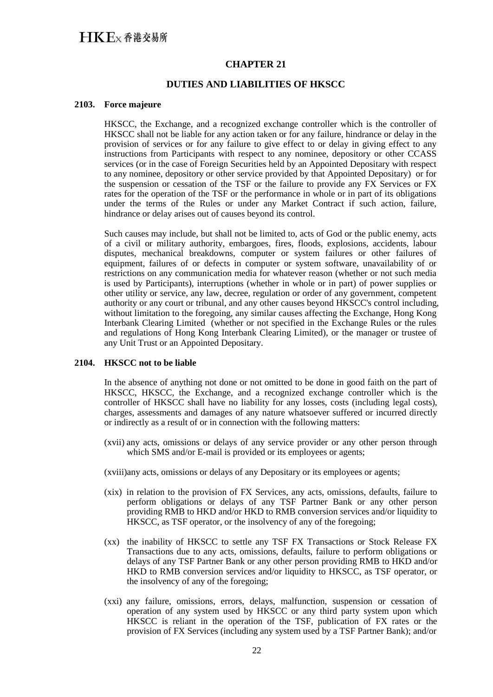## **CHAPTER 21**

## **DUTIES AND LIABILITIES OF HKSCC**

#### **2103. Force majeure**

HKSCC, the Exchange, and a recognized exchange controller which is the controller of HKSCC shall not be liable for any action taken or for any failure, hindrance or delay in the provision of services or for any failure to give effect to or delay in giving effect to any instructions from Participants with respect to any nominee, depository or other CCASS services (or in the case of Foreign Securities held by an Appointed Depositary with respect to any nominee, depository or other service provided by that Appointed Depositary) or for the suspension or cessation of the TSF or the failure to provide any FX Services or FX rates for the operation of the TSF or the performance in whole or in part of its obligations under the terms of the Rules or under any Market Contract if such action, failure, hindrance or delay arises out of causes beyond its control.

Such causes may include, but shall not be limited to, acts of God or the public enemy, acts of a civil or military authority, embargoes, fires, floods, explosions, accidents, labour disputes, mechanical breakdowns, computer or system failures or other failures of equipment, failures of or defects in computer or system software, unavailability of or restrictions on any communication media for whatever reason (whether or not such media is used by Participants), interruptions (whether in whole or in part) of power supplies or other utility or service, any law, decree, regulation or order of any government, competent authority or any court or tribunal, and any other causes beyond HKSCC's control including, without limitation to the foregoing, any similar causes affecting the Exchange, Hong Kong Interbank Clearing Limited (whether or not specified in the Exchange Rules or the rules and regulations of Hong Kong Interbank Clearing Limited), or the manager or trustee of any Unit Trust or an Appointed Depositary.

#### **2104. HKSCC not to be liable**

In the absence of anything not done or not omitted to be done in good faith on the part of HKSCC, HKSCC, the Exchange, and a recognized exchange controller which is the controller of HKSCC shall have no liability for any losses, costs (including legal costs), charges, assessments and damages of any nature whatsoever suffered or incurred directly or indirectly as a result of or in connection with the following matters:

- (xvii) any acts, omissions or delays of any service provider or any other person through which SMS and/or E-mail is provided or its employees or agents;
- (xviii)any acts, omissions or delays of any Depositary or its employees or agents;
- (xix) in relation to the provision of FX Services, any acts, omissions, defaults, failure to perform obligations or delays of any TSF Partner Bank or any other person providing RMB to HKD and/or HKD to RMB conversion services and/or liquidity to HKSCC, as TSF operator, or the insolvency of any of the foregoing;
- (xx) the inability of HKSCC to settle any TSF FX Transactions or Stock Release FX Transactions due to any acts, omissions, defaults, failure to perform obligations or delays of any TSF Partner Bank or any other person providing RMB to HKD and/or HKD to RMB conversion services and/or liquidity to HKSCC, as TSF operator, or the insolvency of any of the foregoing;
- (xxi) any failure, omissions, errors, delays, malfunction, suspension or cessation of operation of any system used by HKSCC or any third party system upon which HKSCC is reliant in the operation of the TSF, publication of FX rates or the provision of FX Services (including any system used by a TSF Partner Bank); and/or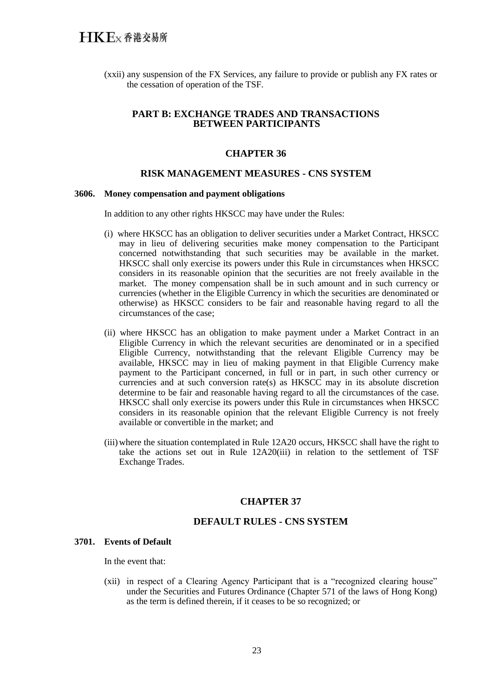(xxii) any suspension of the FX Services, any failure to provide or publish any FX rates or the cessation of operation of the TSF.

### **PART B: EXCHANGE TRADES AND TRANSACTIONS BETWEEN PARTICIPANTS**

#### **CHAPTER 36**

## **RISK MANAGEMENT MEASURES - CNS SYSTEM**

#### **3606. Money compensation and payment obligations**

In addition to any other rights HKSCC may have under the Rules:

- (i) where HKSCC has an obligation to deliver securities under a Market Contract, HKSCC may in lieu of delivering securities make money compensation to the Participant concerned notwithstanding that such securities may be available in the market. HKSCC shall only exercise its powers under this Rule in circumstances when HKSCC considers in its reasonable opinion that the securities are not freely available in the market. The money compensation shall be in such amount and in such currency or currencies (whether in the Eligible Currency in which the securities are denominated or otherwise) as HKSCC considers to be fair and reasonable having regard to all the circumstances of the case;
- (ii) where HKSCC has an obligation to make payment under a Market Contract in an Eligible Currency in which the relevant securities are denominated or in a specified Eligible Currency, notwithstanding that the relevant Eligible Currency may be available, HKSCC may in lieu of making payment in that Eligible Currency make payment to the Participant concerned, in full or in part, in such other currency or currencies and at such conversion rate(s) as HKSCC may in its absolute discretion determine to be fair and reasonable having regard to all the circumstances of the case. HKSCC shall only exercise its powers under this Rule in circumstances when HKSCC considers in its reasonable opinion that the relevant Eligible Currency is not freely available or convertible in the market; and
- (iii)where the situation contemplated in Rule 12A20 occurs, HKSCC shall have the right to take the actions set out in Rule 12A20(iii) in relation to the settlement of TSF Exchange Trades.

#### **CHAPTER 37**

## **DEFAULT RULES - CNS SYSTEM**

### **3701. Events of Default**

In the event that:

(xii) in respect of a Clearing Agency Participant that is a "recognized clearing house" under the Securities and Futures Ordinance (Chapter 571 of the laws of Hong Kong) as the term is defined therein, if it ceases to be so recognized; or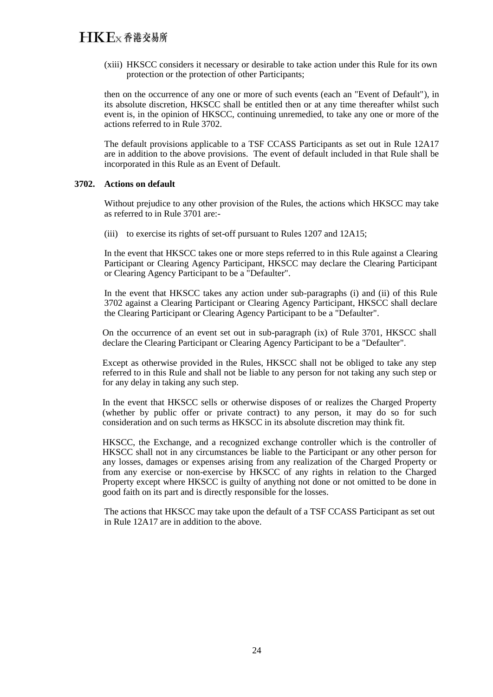(xiii) HKSCC considers it necessary or desirable to take action under this Rule for its own protection or the protection of other Participants;

then on the occurrence of any one or more of such events (each an "Event of Default"), in its absolute discretion, HKSCC shall be entitled then or at any time thereafter whilst such event is, in the opinion of HKSCC, continuing unremedied, to take any one or more of the actions referred to in Rule 3702.

The default provisions applicable to a TSF CCASS Participants as set out in Rule 12A17 are in addition to the above provisions. The event of default included in that Rule shall be incorporated in this Rule as an Event of Default.

#### **3702. Actions on default**

Without prejudice to any other provision of the Rules, the actions which HKSCC may take as referred to in Rule 3701 are:-

(iii) to exercise its rights of set-off pursuant to Rules 1207 and 12A15;

In the event that HKSCC takes one or more steps referred to in this Rule against a Clearing Participant or Clearing Agency Participant, HKSCC may declare the Clearing Participant or Clearing Agency Participant to be a "Defaulter".

In the event that HKSCC takes any action under sub-paragraphs (i) and (ii) of this Rule 3702 against a Clearing Participant or Clearing Agency Participant, HKSCC shall declare the Clearing Participant or Clearing Agency Participant to be a "Defaulter".

On the occurrence of an event set out in sub-paragraph (ix) of Rule 3701, HKSCC shall declare the Clearing Participant or Clearing Agency Participant to be a "Defaulter".

Except as otherwise provided in the Rules, HKSCC shall not be obliged to take any step referred to in this Rule and shall not be liable to any person for not taking any such step or for any delay in taking any such step.

In the event that HKSCC sells or otherwise disposes of or realizes the Charged Property (whether by public offer or private contract) to any person, it may do so for such consideration and on such terms as HKSCC in its absolute discretion may think fit.

HKSCC, the Exchange, and a recognized exchange controller which is the controller of HKSCC shall not in any circumstances be liable to the Participant or any other person for any losses, damages or expenses arising from any realization of the Charged Property or from any exercise or non-exercise by HKSCC of any rights in relation to the Charged Property except where HKSCC is guilty of anything not done or not omitted to be done in good faith on its part and is directly responsible for the losses.

The actions that HKSCC may take upon the default of a TSF CCASS Participant as set out in Rule 12A17 are in addition to the above.